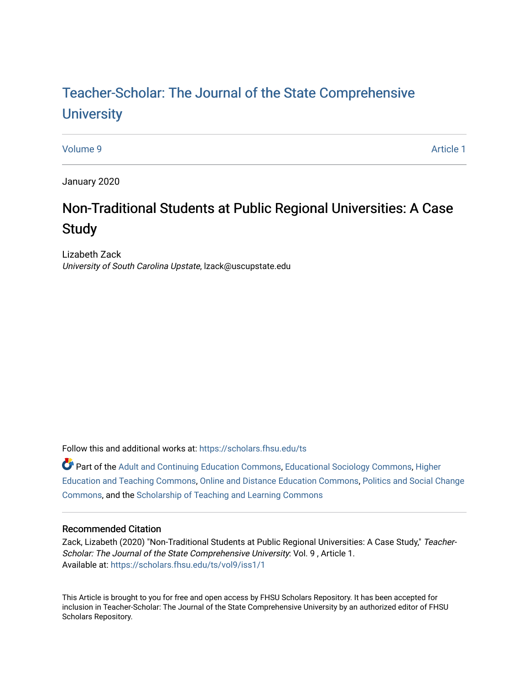# [Teacher-Scholar: The Journal of the State Comprehensive](https://scholars.fhsu.edu/ts) **University**

[Volume 9](https://scholars.fhsu.edu/ts/vol9) [Article 1](https://scholars.fhsu.edu/ts/vol9/iss1/1) 

January 2020

# Non-Traditional Students at Public Regional Universities: A Case **Study**

Lizabeth Zack University of South Carolina Upstate, lzack@uscupstate.edu

Follow this and additional works at: [https://scholars.fhsu.edu/ts](https://scholars.fhsu.edu/ts?utm_source=scholars.fhsu.edu%2Fts%2Fvol9%2Fiss1%2F1&utm_medium=PDF&utm_campaign=PDFCoverPages)

Part of the [Adult and Continuing Education Commons,](http://network.bepress.com/hgg/discipline/1375?utm_source=scholars.fhsu.edu%2Fts%2Fvol9%2Fiss1%2F1&utm_medium=PDF&utm_campaign=PDFCoverPages) [Educational Sociology Commons,](http://network.bepress.com/hgg/discipline/1071?utm_source=scholars.fhsu.edu%2Fts%2Fvol9%2Fiss1%2F1&utm_medium=PDF&utm_campaign=PDFCoverPages) [Higher](http://network.bepress.com/hgg/discipline/806?utm_source=scholars.fhsu.edu%2Fts%2Fvol9%2Fiss1%2F1&utm_medium=PDF&utm_campaign=PDFCoverPages)  [Education and Teaching Commons,](http://network.bepress.com/hgg/discipline/806?utm_source=scholars.fhsu.edu%2Fts%2Fvol9%2Fiss1%2F1&utm_medium=PDF&utm_campaign=PDFCoverPages) [Online and Distance Education Commons](http://network.bepress.com/hgg/discipline/1296?utm_source=scholars.fhsu.edu%2Fts%2Fvol9%2Fiss1%2F1&utm_medium=PDF&utm_campaign=PDFCoverPages), [Politics and Social Change](http://network.bepress.com/hgg/discipline/425?utm_source=scholars.fhsu.edu%2Fts%2Fvol9%2Fiss1%2F1&utm_medium=PDF&utm_campaign=PDFCoverPages)  [Commons](http://network.bepress.com/hgg/discipline/425?utm_source=scholars.fhsu.edu%2Fts%2Fvol9%2Fiss1%2F1&utm_medium=PDF&utm_campaign=PDFCoverPages), and the [Scholarship of Teaching and Learning Commons](http://network.bepress.com/hgg/discipline/1328?utm_source=scholars.fhsu.edu%2Fts%2Fvol9%2Fiss1%2F1&utm_medium=PDF&utm_campaign=PDFCoverPages) 

## Recommended Citation

Zack, Lizabeth (2020) "Non-Traditional Students at Public Regional Universities: A Case Study," Teacher-Scholar: The Journal of the State Comprehensive University: Vol. 9 , Article 1. Available at: [https://scholars.fhsu.edu/ts/vol9/iss1/1](https://scholars.fhsu.edu/ts/vol9/iss1/1?utm_source=scholars.fhsu.edu%2Fts%2Fvol9%2Fiss1%2F1&utm_medium=PDF&utm_campaign=PDFCoverPages)

This Article is brought to you for free and open access by FHSU Scholars Repository. It has been accepted for inclusion in Teacher-Scholar: The Journal of the State Comprehensive University by an authorized editor of FHSU Scholars Repository.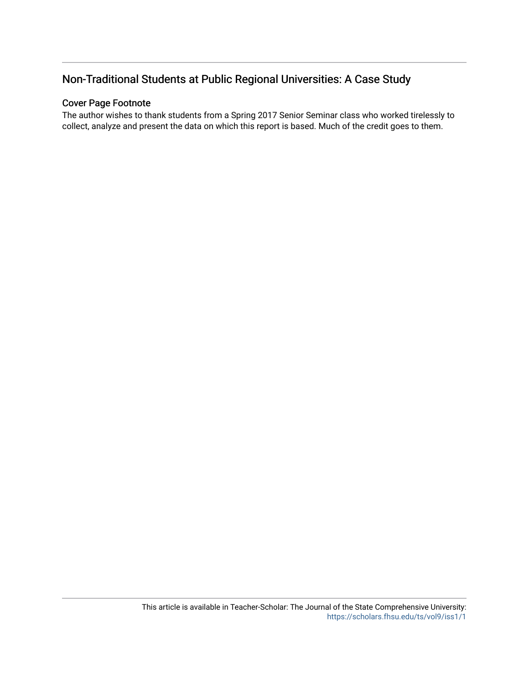# Non-Traditional Students at Public Regional Universities: A Case Study

# Cover Page Footnote

The author wishes to thank students from a Spring 2017 Senior Seminar class who worked tirelessly to collect, analyze and present the data on which this report is based. Much of the credit goes to them.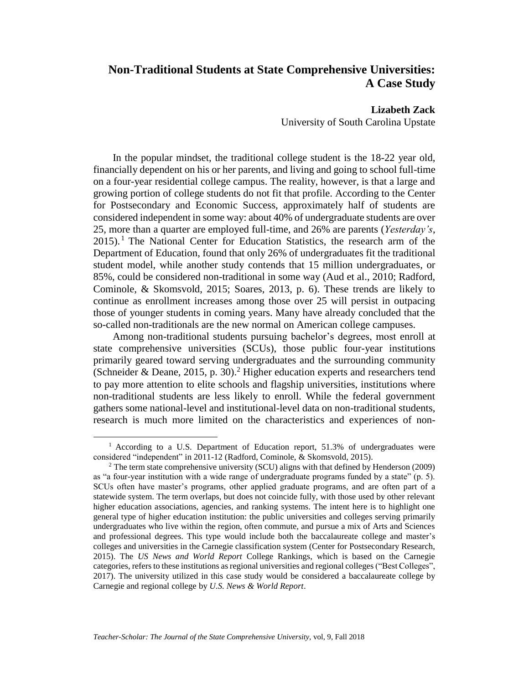# **Non-Traditional Students at State Comprehensive Universities: A Case Study**

**Lizabeth Zack**

University of South Carolina Upstate

In the popular mindset, the traditional college student is the 18-22 year old, financially dependent on his or her parents, and living and going to school full-time on a four-year residential college campus. The reality, however, is that a large and growing portion of college students do not fit that profile. According to the Center for Postsecondary and Economic Success, approximately half of students are considered independent in some way: about 40% of undergraduate students are over 25, more than a quarter are employed full-time, and 26% are parents (*Yesterday's*,  $2015$ ). <sup>1</sup> The National Center for Education Statistics, the research arm of the Department of Education, found that only 26% of undergraduates fit the traditional student model, while another study contends that 15 million undergraduates, or 85%, could be considered non-traditional in some way (Aud et al., 2010; Radford, Cominole, & Skomsvold, 2015; Soares, 2013, p. 6). These trends are likely to continue as enrollment increases among those over 25 will persist in outpacing those of younger students in coming years. Many have already concluded that the so-called non-traditionals are the new normal on American college campuses.

Among non-traditional students pursuing bachelor's degrees, most enroll at state comprehensive universities (SCUs), those public four-year institutions primarily geared toward serving undergraduates and the surrounding community (Schneider & Deane, 2015, p. 30).<sup>2</sup> Higher education experts and researchers tend to pay more attention to elite schools and flagship universities, institutions where non-traditional students are less likely to enroll. While the federal government gathers some national-level and institutional-level data on non-traditional students, research is much more limited on the characteristics and experiences of non-

<sup>&</sup>lt;sup>1</sup> According to a U.S. Department of Education report, 51.3% of undergraduates were considered "independent" in 2011-12 (Radford, Cominole, & Skomsvold, 2015).

<sup>2</sup> The term state comprehensive university (SCU) aligns with that defined by Henderson (2009) as "a four-year institution with a wide range of undergraduate programs funded by a state" (p. 5). SCUs often have master's programs, other applied graduate programs, and are often part of a statewide system. The term overlaps, but does not coincide fully, with those used by other relevant higher education associations, agencies, and ranking systems. The intent here is to highlight one general type of higher education institution: the public universities and colleges serving primarily undergraduates who live within the region, often commute, and pursue a mix of Arts and Sciences and professional degrees. This type would include both the baccalaureate college and master's colleges and universities in the Carnegie classification system (Center for Postsecondary Research, 2015). The *US News and World Report* College Rankings, which is based on the Carnegie categories, refers to these institutions as regional universities and regional colleges ("Best Colleges", 2017). The university utilized in this case study would be considered a baccalaureate college by Carnegie and regional college by *U.S. News & World Report*.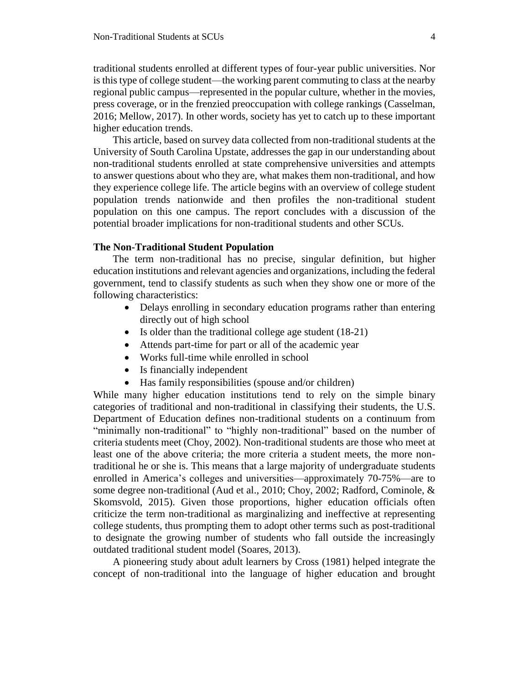traditional students enrolled at different types of four-year public universities. Nor is this type of college student—the working parent commuting to class at the nearby regional public campus—represented in the popular culture, whether in the movies, press coverage, or in the frenzied preoccupation with college rankings (Casselman, 2016; Mellow, 2017). In other words, society has yet to catch up to these important higher education trends.

This article, based on survey data collected from non-traditional students at the University of South Carolina Upstate, addresses the gap in our understanding about non-traditional students enrolled at state comprehensive universities and attempts to answer questions about who they are, what makes them non-traditional, and how they experience college life. The article begins with an overview of college student population trends nationwide and then profiles the non-traditional student population on this one campus. The report concludes with a discussion of the potential broader implications for non-traditional students and other SCUs.

### **The Non-Traditional Student Population**

The term non-traditional has no precise, singular definition, but higher education institutions and relevant agencies and organizations, including the federal government, tend to classify students as such when they show one or more of the following characteristics:

- Delays enrolling in secondary education programs rather than entering directly out of high school
- Is older than the traditional college age student (18-21)
- Attends part-time for part or all of the academic year
- Works full-time while enrolled in school
- Is financially independent
- Has family responsibilities (spouse and/or children)

While many higher education institutions tend to rely on the simple binary categories of traditional and non-traditional in classifying their students, the U.S. Department of Education defines non-traditional students on a continuum from "minimally non-traditional" to "highly non-traditional" based on the number of criteria students meet (Choy, 2002). Non-traditional students are those who meet at least one of the above criteria; the more criteria a student meets, the more nontraditional he or she is. This means that a large majority of undergraduate students enrolled in America's colleges and universities—approximately 70-75%—are to some degree non-traditional (Aud et al., 2010; Choy, 2002; Radford, Cominole, & Skomsvold, 2015). Given those proportions, higher education officials often criticize the term non-traditional as marginalizing and ineffective at representing college students, thus prompting them to adopt other terms such as post-traditional to designate the growing number of students who fall outside the increasingly outdated traditional student model (Soares, 2013).

A pioneering study about adult learners by Cross (1981) helped integrate the concept of non-traditional into the language of higher education and brought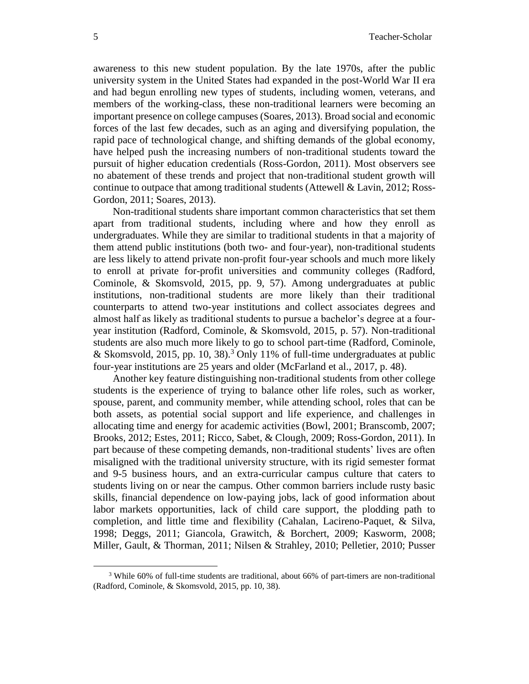awareness to this new student population. By the late 1970s, after the public university system in the United States had expanded in the post-World War II era and had begun enrolling new types of students, including women, veterans, and members of the working-class, these non-traditional learners were becoming an important presence on college campuses (Soares, 2013). Broad social and economic forces of the last few decades, such as an aging and diversifying population, the rapid pace of technological change, and shifting demands of the global economy, have helped push the increasing numbers of non-traditional students toward the pursuit of higher education credentials (Ross-Gordon, 2011). Most observers see no abatement of these trends and project that non-traditional student growth will continue to outpace that among traditional students (Attewell & Lavin, 2012; Ross-Gordon, 2011; Soares, 2013).

Non-traditional students share important common characteristics that set them apart from traditional students, including where and how they enroll as undergraduates. While they are similar to traditional students in that a majority of them attend public institutions (both two- and four-year), non-traditional students are less likely to attend private non-profit four-year schools and much more likely to enroll at private for-profit universities and community colleges (Radford, Cominole, & Skomsvold, 2015, pp. 9, 57). Among undergraduates at public institutions, non-traditional students are more likely than their traditional counterparts to attend two-year institutions and collect associates degrees and almost half as likely as traditional students to pursue a bachelor's degree at a fouryear institution (Radford, Cominole, & Skomsvold, 2015, p. 57). Non-traditional students are also much more likely to go to school part-time (Radford, Cominole, & Skomsvold, 2015, pp. 10, 38).<sup>3</sup> Only 11% of full-time undergraduates at public four-year institutions are 25 years and older (McFarland et al., 2017, p. 48).

Another key feature distinguishing non-traditional students from other college students is the experience of trying to balance other life roles, such as worker, spouse, parent, and community member, while attending school, roles that can be both assets, as potential social support and life experience, and challenges in allocating time and energy for academic activities (Bowl, 2001; Branscomb, 2007; Brooks, 2012; Estes, 2011; Ricco, Sabet, & Clough, 2009; Ross-Gordon, 2011). In part because of these competing demands, non-traditional students' lives are often misaligned with the traditional university structure, with its rigid semester format and 9-5 business hours, and an extra-curricular campus culture that caters to students living on or near the campus. Other common barriers include rusty basic skills, financial dependence on low-paying jobs, lack of good information about labor markets opportunities, lack of child care support, the plodding path to completion, and little time and flexibility (Cahalan, Lacireno-Paquet, & Silva, 1998; Deggs, 2011; Giancola, Grawitch, & Borchert, 2009; Kasworm, 2008; Miller, Gault, & Thorman, 2011; Nilsen & Strahley, 2010; Pelletier, 2010; Pusser

<sup>3</sup> While 60% of full-time students are traditional, about 66% of part-timers are non-traditional (Radford, Cominole, & Skomsvold, 2015, pp. 10, 38).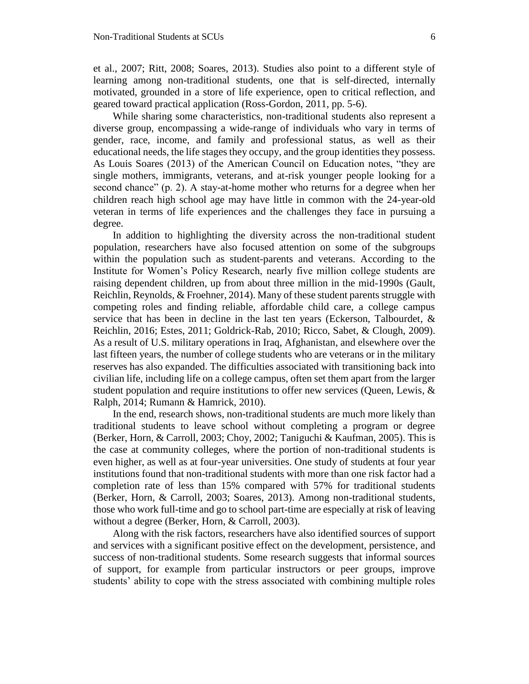et al., 2007; Ritt, 2008; Soares, 2013). Studies also point to a different style of learning among non-traditional students, one that is self-directed, internally motivated, grounded in a store of life experience, open to critical reflection, and geared toward practical application (Ross-Gordon, 2011, pp. 5-6).

While sharing some characteristics, non-traditional students also represent a diverse group, encompassing a wide-range of individuals who vary in terms of gender, race, income, and family and professional status, as well as their educational needs, the life stages they occupy, and the group identities they possess. As Louis Soares (2013) of the American Council on Education notes, "they are single mothers, immigrants, veterans, and at-risk younger people looking for a second chance" (p. 2). A stay-at-home mother who returns for a degree when her children reach high school age may have little in common with the 24-year-old veteran in terms of life experiences and the challenges they face in pursuing a degree.

In addition to highlighting the diversity across the non-traditional student population, researchers have also focused attention on some of the subgroups within the population such as student-parents and veterans. According to the Institute for Women's Policy Research, nearly five million college students are raising dependent children, up from about three million in the mid-1990s (Gault, Reichlin, Reynolds, & Froehner, 2014). Many of these student parents struggle with competing roles and finding reliable, affordable child care, a college campus service that has been in decline in the last ten years (Eckerson, Talbourdet, & Reichlin, 2016; Estes, 2011; Goldrick-Rab, 2010; Ricco, Sabet, & Clough, 2009). As a result of U.S. military operations in Iraq, Afghanistan, and elsewhere over the last fifteen years, the number of college students who are veterans or in the military reserves has also expanded. The difficulties associated with transitioning back into civilian life, including life on a college campus, often set them apart from the larger student population and require institutions to offer new services (Queen, Lewis, & Ralph, 2014; Rumann & Hamrick, 2010).

In the end, research shows, non-traditional students are much more likely than traditional students to leave school without completing a program or degree (Berker, Horn, & Carroll, 2003; Choy, 2002; Taniguchi & Kaufman, 2005). This is the case at community colleges, where the portion of non-traditional students is even higher, as well as at four-year universities. One study of students at four year institutions found that non-traditional students with more than one risk factor had a completion rate of less than 15% compared with 57% for traditional students (Berker, Horn, & Carroll, 2003; Soares, 2013). Among non-traditional students, those who work full-time and go to school part-time are especially at risk of leaving without a degree (Berker, Horn, & Carroll, 2003).

Along with the risk factors, researchers have also identified sources of support and services with a significant positive effect on the development, persistence, and success of non-traditional students. Some research suggests that informal sources of support, for example from particular instructors or peer groups, improve students' ability to cope with the stress associated with combining multiple roles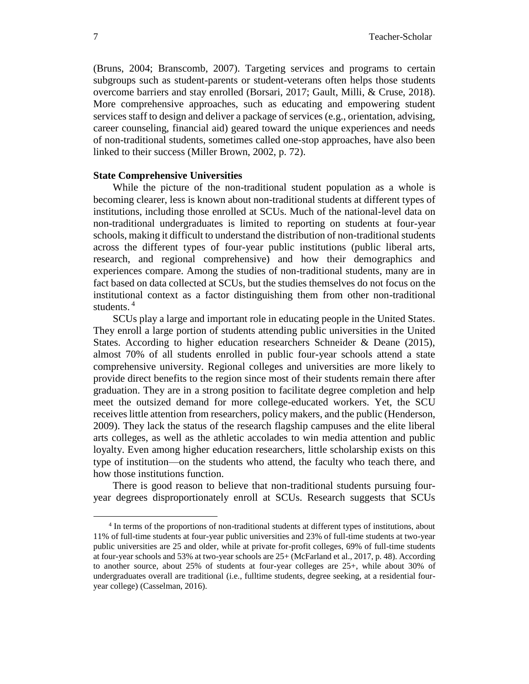(Bruns, 2004; Branscomb, 2007). Targeting services and programs to certain subgroups such as student-parents or student-veterans often helps those students overcome barriers and stay enrolled (Borsari, 2017; Gault, Milli, & Cruse, 2018). More comprehensive approaches, such as educating and empowering student services staff to design and deliver a package of services (e.g., orientation, advising, career counseling, financial aid) geared toward the unique experiences and needs of non-traditional students, sometimes called one-stop approaches, have also been linked to their success (Miller Brown, 2002, p. 72).

## **State Comprehensive Universities**

While the picture of the non-traditional student population as a whole is becoming clearer, less is known about non-traditional students at different types of institutions, including those enrolled at SCUs. Much of the national-level data on non-traditional undergraduates is limited to reporting on students at four-year schools, making it difficult to understand the distribution of non-traditional students across the different types of four-year public institutions (public liberal arts, research, and regional comprehensive) and how their demographics and experiences compare. Among the studies of non-traditional students, many are in fact based on data collected at SCUs, but the studies themselves do not focus on the institutional context as a factor distinguishing them from other non-traditional students.<sup>4</sup>

SCUs play a large and important role in educating people in the United States. They enroll a large portion of students attending public universities in the United States. According to higher education researchers Schneider & Deane (2015), almost 70% of all students enrolled in public four-year schools attend a state comprehensive university. Regional colleges and universities are more likely to provide direct benefits to the region since most of their students remain there after graduation. They are in a strong position to facilitate degree completion and help meet the outsized demand for more college-educated workers. Yet, the SCU receives little attention from researchers, policy makers, and the public (Henderson, 2009). They lack the status of the research flagship campuses and the elite liberal arts colleges, as well as the athletic accolades to win media attention and public loyalty. Even among higher education researchers, little scholarship exists on this type of institution—on the students who attend, the faculty who teach there, and how those institutions function.

There is good reason to believe that non-traditional students pursuing fouryear degrees disproportionately enroll at SCUs. Research suggests that SCUs

<sup>4</sup> In terms of the proportions of non-traditional students at different types of institutions, about 11% of full-time students at four-year public universities and 23% of full-time students at two-year public universities are 25 and older, while at private for-profit colleges, 69% of full-time students at four-year schools and 53% at two-year schools are 25+ (McFarland et al., 2017, p. 48). According to another source, about 25% of students at four-year colleges are 25+, while about 30% of undergraduates overall are traditional (i.e., fulltime students, degree seeking, at a residential fouryear college) (Casselman, 2016).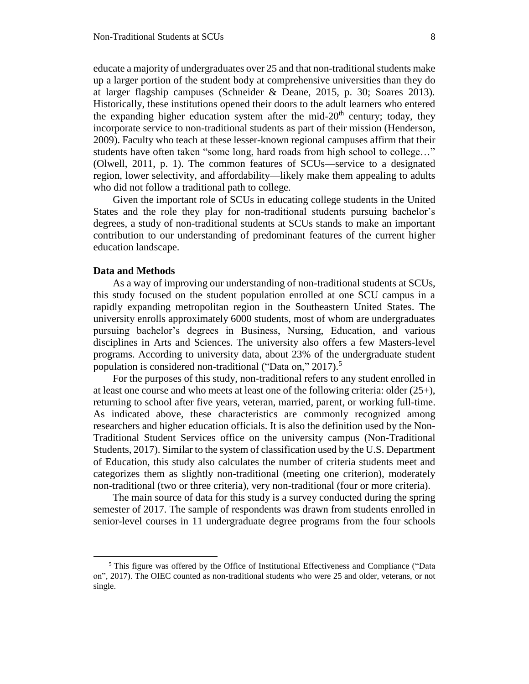educate a majority of undergraduates over 25 and that non-traditional students make up a larger portion of the student body at comprehensive universities than they do at larger flagship campuses (Schneider & Deane, 2015, p. 30; Soares 2013). Historically, these institutions opened their doors to the adult learners who entered the expanding higher education system after the mid-20<sup>th</sup> century; today, they incorporate service to non-traditional students as part of their mission (Henderson, 2009). Faculty who teach at these lesser-known regional campuses affirm that their students have often taken "some long, hard roads from high school to college…" (Olwell, 2011, p. 1). The common features of SCUs—service to a designated region, lower selectivity, and affordability—likely make them appealing to adults who did not follow a traditional path to college.

Given the important role of SCUs in educating college students in the United States and the role they play for non-traditional students pursuing bachelor's degrees, a study of non-traditional students at SCUs stands to make an important contribution to our understanding of predominant features of the current higher education landscape.

### **Data and Methods**

 $\overline{a}$ 

As a way of improving our understanding of non-traditional students at SCUs, this study focused on the student population enrolled at one SCU campus in a rapidly expanding metropolitan region in the Southeastern United States. The university enrolls approximately 6000 students, most of whom are undergraduates pursuing bachelor's degrees in Business, Nursing, Education, and various disciplines in Arts and Sciences. The university also offers a few Masters-level programs. According to university data, about 23% of the undergraduate student population is considered non-traditional ("Data on," 2017).<sup>5</sup>

For the purposes of this study, non-traditional refers to any student enrolled in at least one course and who meets at least one of the following criteria: older (25+), returning to school after five years, veteran, married, parent, or working full-time. As indicated above, these characteristics are commonly recognized among researchers and higher education officials. It is also the definition used by the Non-Traditional Student Services office on the university campus (Non-Traditional Students, 2017). Similar to the system of classification used by the U.S. Department of Education, this study also calculates the number of criteria students meet and categorizes them as slightly non-traditional (meeting one criterion), moderately non-traditional (two or three criteria), very non-traditional (four or more criteria).

The main source of data for this study is a survey conducted during the spring semester of 2017. The sample of respondents was drawn from students enrolled in senior-level courses in 11 undergraduate degree programs from the four schools

<sup>5</sup> This figure was offered by the Office of Institutional Effectiveness and Compliance ("Data on", 2017). The OIEC counted as non-traditional students who were 25 and older, veterans, or not single.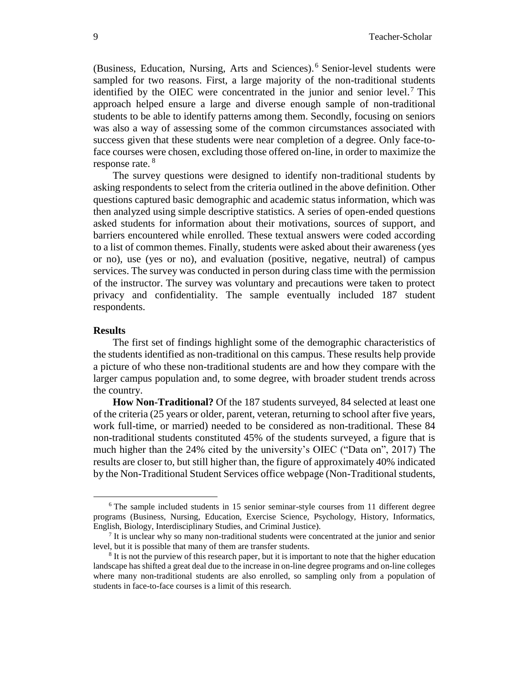(Business, Education, Nursing, Arts and Sciences).<sup>6</sup> Senior-level students were sampled for two reasons. First, a large majority of the non-traditional students identified by the OIEC were concentrated in the junior and senior level.<sup>7</sup> This approach helped ensure a large and diverse enough sample of non-traditional students to be able to identify patterns among them. Secondly, focusing on seniors was also a way of assessing some of the common circumstances associated with success given that these students were near completion of a degree. Only face-toface courses were chosen, excluding those offered on-line, in order to maximize the response rate.<sup>8</sup>

The survey questions were designed to identify non-traditional students by asking respondents to select from the criteria outlined in the above definition. Other questions captured basic demographic and academic status information, which was then analyzed using simple descriptive statistics. A series of open-ended questions asked students for information about their motivations, sources of support, and barriers encountered while enrolled. These textual answers were coded according to a list of common themes. Finally, students were asked about their awareness (yes or no), use (yes or no), and evaluation (positive, negative, neutral) of campus services. The survey was conducted in person during class time with the permission of the instructor. The survey was voluntary and precautions were taken to protect privacy and confidentiality. The sample eventually included 187 student respondents.

#### **Results**

 $\overline{a}$ 

The first set of findings highlight some of the demographic characteristics of the students identified as non-traditional on this campus. These results help provide a picture of who these non-traditional students are and how they compare with the larger campus population and, to some degree, with broader student trends across the country.

**How Non-Traditional?** Of the 187 students surveyed, 84 selected at least one of the criteria (25 years or older, parent, veteran, returning to school after five years, work full-time, or married) needed to be considered as non-traditional. These 84 non-traditional students constituted 45% of the students surveyed, a figure that is much higher than the 24% cited by the university's OIEC ("Data on", 2017) The results are closer to, but still higher than, the figure of approximately 40% indicated by the Non-Traditional Student Services office webpage (Non-Traditional students,

<sup>6</sup> The sample included students in 15 senior seminar-style courses from 11 different degree programs (Business, Nursing, Education, Exercise Science, Psychology, History, Informatics, English, Biology, Interdisciplinary Studies, and Criminal Justice).

<sup>&</sup>lt;sup>7</sup> It is unclear why so many non-traditional students were concentrated at the junior and senior level, but it is possible that many of them are transfer students.

<sup>&</sup>lt;sup>8</sup> It is not the purview of this research paper, but it is important to note that the higher education landscape has shifted a great deal due to the increase in on-line degree programs and on-line colleges where many non-traditional students are also enrolled, so sampling only from a population of students in face-to-face courses is a limit of this research.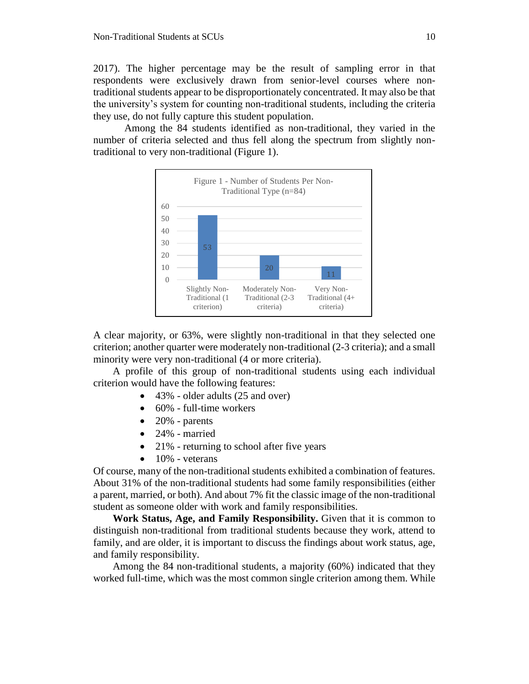2017). The higher percentage may be the result of sampling error in that respondents were exclusively drawn from senior-level courses where nontraditional students appear to be disproportionately concentrated. It may also be that the university's system for counting non-traditional students, including the criteria they use, do not fully capture this student population.

Among the 84 students identified as non-traditional, they varied in the number of criteria selected and thus fell along the spectrum from slightly nontraditional to very non-traditional (Figure 1).



A clear majority, or 63%, were slightly non-traditional in that they selected one criterion; another quarter were moderately non-traditional (2-3 criteria); and a small minority were very non-traditional (4 or more criteria).

A profile of this group of non-traditional students using each individual criterion would have the following features:

- 43% older adults (25 and over)
- 60% full-time workers
- $\bullet$  20% parents
- 24% married
- 21% returning to school after five years
- $\bullet$  10% veterans

Of course, many of the non-traditional students exhibited a combination of features. About 31% of the non-traditional students had some family responsibilities (either a parent, married, or both). And about 7% fit the classic image of the non-traditional student as someone older with work and family responsibilities.

**Work Status, Age, and Family Responsibility.** Given that it is common to distinguish non-traditional from traditional students because they work, attend to family, and are older, it is important to discuss the findings about work status, age, and family responsibility.

Among the 84 non-traditional students, a majority (60%) indicated that they worked full-time, which was the most common single criterion among them. While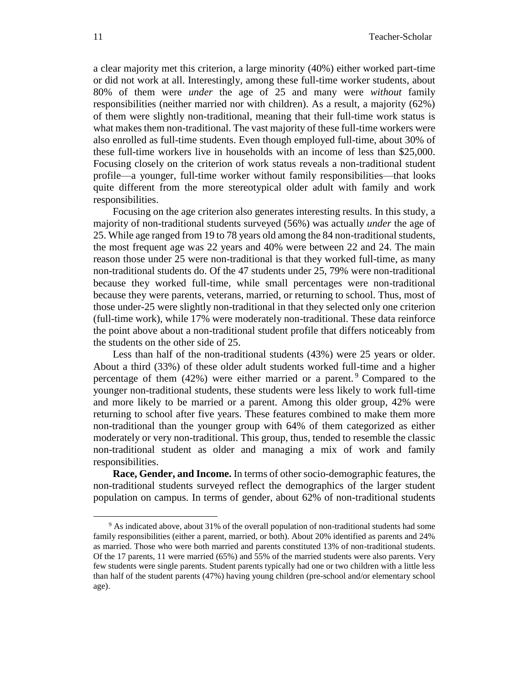a clear majority met this criterion, a large minority (40%) either worked part-time or did not work at all. Interestingly, among these full-time worker students, about 80% of them were *under* the age of 25 and many were *without* family responsibilities (neither married nor with children). As a result, a majority (62%) of them were slightly non-traditional, meaning that their full-time work status is what makes them non-traditional. The vast majority of these full-time workers were also enrolled as full-time students. Even though employed full-time, about 30% of these full-time workers live in households with an income of less than \$25,000. Focusing closely on the criterion of work status reveals a non-traditional student profile—a younger, full-time worker without family responsibilities—that looks quite different from the more stereotypical older adult with family and work responsibilities.

Focusing on the age criterion also generates interesting results. In this study, a majority of non-traditional students surveyed (56%) was actually *under* the age of 25. While age ranged from 19 to 78 years old among the 84 non-traditional students, the most frequent age was 22 years and 40% were between 22 and 24. The main reason those under 25 were non-traditional is that they worked full-time, as many non-traditional students do. Of the 47 students under 25, 79% were non-traditional because they worked full-time, while small percentages were non-traditional because they were parents, veterans, married, or returning to school. Thus, most of those under-25 were slightly non-traditional in that they selected only one criterion (full-time work), while 17% were moderately non-traditional. These data reinforce the point above about a non-traditional student profile that differs noticeably from the students on the other side of 25.

Less than half of the non-traditional students (43%) were 25 years or older. About a third (33%) of these older adult students worked full-time and a higher percentage of them  $(42%)$  were either married or a parent.<sup>9</sup> Compared to the younger non-traditional students, these students were less likely to work full-time and more likely to be married or a parent. Among this older group, 42% were returning to school after five years. These features combined to make them more non-traditional than the younger group with 64% of them categorized as either moderately or very non-traditional. This group, thus, tended to resemble the classic non-traditional student as older and managing a mix of work and family responsibilities.

**Race, Gender, and Income.** In terms of other socio-demographic features, the non-traditional students surveyed reflect the demographics of the larger student population on campus. In terms of gender, about 62% of non-traditional students

<sup>9</sup> As indicated above, about 31% of the overall population of non-traditional students had some family responsibilities (either a parent, married, or both). About 20% identified as parents and 24% as married. Those who were both married and parents constituted 13% of non-traditional students. Of the 17 parents, 11 were married (65%) and 55% of the married students were also parents. Very few students were single parents. Student parents typically had one or two children with a little less than half of the student parents (47%) having young children (pre-school and/or elementary school age).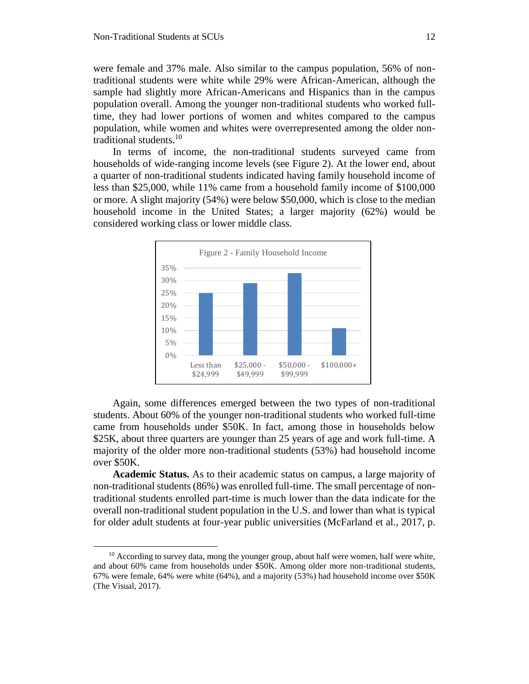$\overline{a}$ 

were female and 37% male. Also similar to the campus population, 56% of nontraditional students were white while 29% were African-American, although the sample had slightly more African-Americans and Hispanics than in the campus population overall. Among the younger non-traditional students who worked fulltime, they had lower portions of women and whites compared to the campus population, while women and whites were overrepresented among the older nontraditional students. $10$ 

In terms of income, the non-traditional students surveyed came from households of wide-ranging income levels (see Figure 2). At the lower end, about a quarter of non-traditional students indicated having family household income of less than \$25,000, while 11% came from a household family income of \$100,000 or more. A slight majority (54%) were below \$50,000, which is close to the median household income in the United States; a larger majority (62%) would be considered working class or lower middle class.



Again, some differences emerged between the two types of non-traditional students. About 60% of the younger non-traditional students who worked full-time came from households under \$50K. In fact, among those in households below \$25K, about three quarters are younger than 25 years of age and work full-time. A majority of the older more non-traditional students (53%) had household income over \$50K.

**Academic Status.** As to their academic status on campus, a large majority of non-traditional students (86%) was enrolled full-time. The small percentage of nontraditional students enrolled part-time is much lower than the data indicate for the overall non-traditional student population in the U.S. and lower than what is typical for older adult students at four-year public universities (McFarland et al., 2017, p.

 $10$  According to survey data, mong the younger group, about half were women, half were white, and about 60% came from households under \$50K. Among older more non-traditional students, 67% were female, 64% were white (64%), and a majority (53%) had household income over \$50K (The Visual, 2017).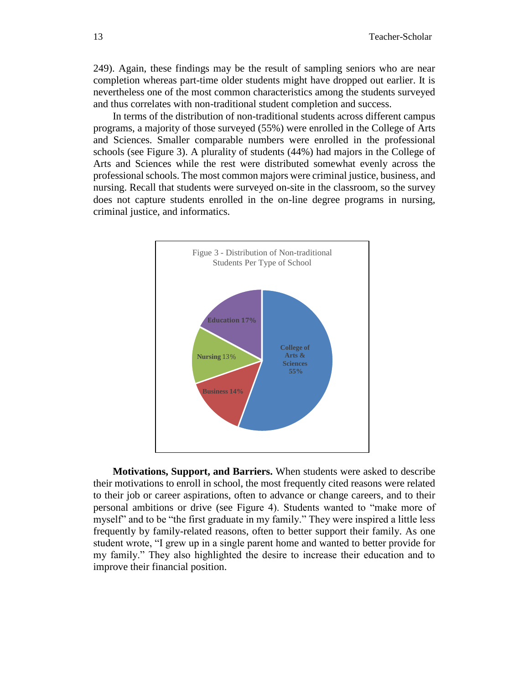249). Again, these findings may be the result of sampling seniors who are near completion whereas part-time older students might have dropped out earlier. It is nevertheless one of the most common characteristics among the students surveyed and thus correlates with non-traditional student completion and success.

In terms of the distribution of non-traditional students across different campus programs, a majority of those surveyed (55%) were enrolled in the College of Arts and Sciences. Smaller comparable numbers were enrolled in the professional schools (see Figure 3). A plurality of students (44%) had majors in the College of Arts and Sciences while the rest were distributed somewhat evenly across the professional schools. The most common majors were criminal justice, business, and nursing. Recall that students were surveyed on-site in the classroom, so the survey does not capture students enrolled in the on-line degree programs in nursing, criminal justice, and informatics.



**Motivations, Support, and Barriers.** When students were asked to describe their motivations to enroll in school, the most frequently cited reasons were related to their job or career aspirations, often to advance or change careers, and to their personal ambitions or drive (see Figure 4). Students wanted to "make more of myself" and to be "the first graduate in my family." They were inspired a little less frequently by family-related reasons, often to better support their family. As one student wrote, "I grew up in a single parent home and wanted to better provide for my family." They also highlighted the desire to increase their education and to improve their financial position.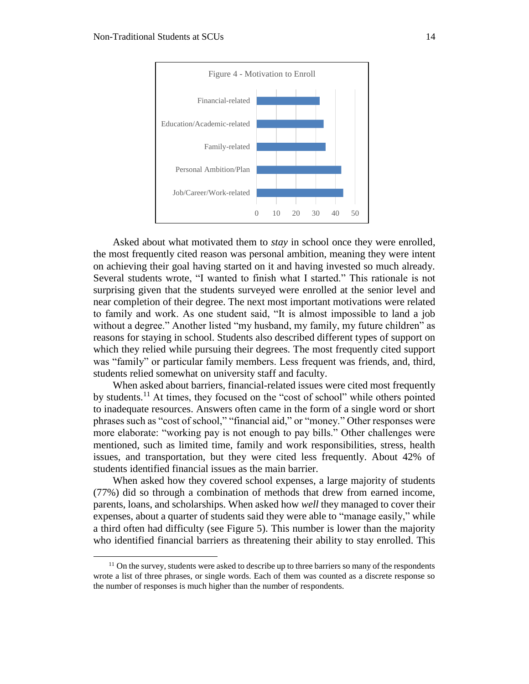$\overline{a}$ 



Asked about what motivated them to *stay* in school once they were enrolled, the most frequently cited reason was personal ambition, meaning they were intent on achieving their goal having started on it and having invested so much already. Several students wrote, "I wanted to finish what I started." This rationale is not surprising given that the students surveyed were enrolled at the senior level and near completion of their degree. The next most important motivations were related to family and work. As one student said, "It is almost impossible to land a job without a degree." Another listed "my husband, my family, my future children" as reasons for staying in school. Students also described different types of support on which they relied while pursuing their degrees. The most frequently cited support was "family" or particular family members. Less frequent was friends, and, third, students relied somewhat on university staff and faculty.

When asked about barriers, financial-related issues were cited most frequently by students.<sup>11</sup> At times, they focused on the "cost of school" while others pointed to inadequate resources. Answers often came in the form of a single word or short phrases such as "cost of school," "financial aid," or "money." Other responses were more elaborate: "working pay is not enough to pay bills." Other challenges were mentioned, such as limited time, family and work responsibilities, stress, health issues, and transportation, but they were cited less frequently. About 42% of students identified financial issues as the main barrier.

When asked how they covered school expenses, a large majority of students (77%) did so through a combination of methods that drew from earned income, parents, loans, and scholarships. When asked how *well* they managed to cover their expenses, about a quarter of students said they were able to "manage easily," while a third often had difficulty (see Figure 5). This number is lower than the majority who identified financial barriers as threatening their ability to stay enrolled. This

 $<sup>11</sup>$  On the survey, students were asked to describe up to three barriers so many of the respondents</sup> wrote a list of three phrases, or single words. Each of them was counted as a discrete response so the number of responses is much higher than the number of respondents.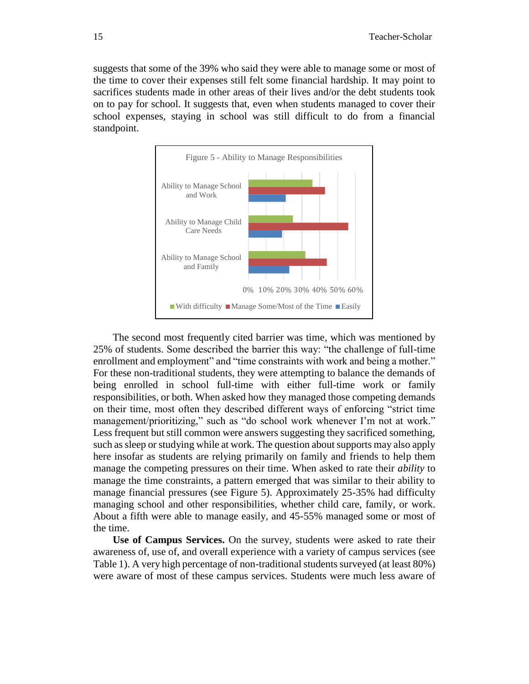suggests that some of the 39% who said they were able to manage some or most of the time to cover their expenses still felt some financial hardship. It may point to sacrifices students made in other areas of their lives and/or the debt students took on to pay for school. It suggests that, even when students managed to cover their school expenses, staying in school was still difficult to do from a financial standpoint.



The second most frequently cited barrier was time, which was mentioned by 25% of students. Some described the barrier this way: "the challenge of full-time enrollment and employment" and "time constraints with work and being a mother." For these non-traditional students, they were attempting to balance the demands of being enrolled in school full-time with either full-time work or family responsibilities, or both. When asked how they managed those competing demands on their time, most often they described different ways of enforcing "strict time management/prioritizing," such as "do school work whenever I'm not at work." Less frequent but still common were answers suggesting they sacrificed something, such as sleep or studying while at work. The question about supports may also apply here insofar as students are relying primarily on family and friends to help them manage the competing pressures on their time. When asked to rate their *ability* to manage the time constraints, a pattern emerged that was similar to their ability to manage financial pressures (see Figure 5). Approximately 25-35% had difficulty managing school and other responsibilities, whether child care, family, or work. About a fifth were able to manage easily, and 45-55% managed some or most of the time.

**Use of Campus Services.** On the survey, students were asked to rate their awareness of, use of, and overall experience with a variety of campus services (see Table 1). A very high percentage of non-traditional students surveyed (at least 80%) were aware of most of these campus services. Students were much less aware of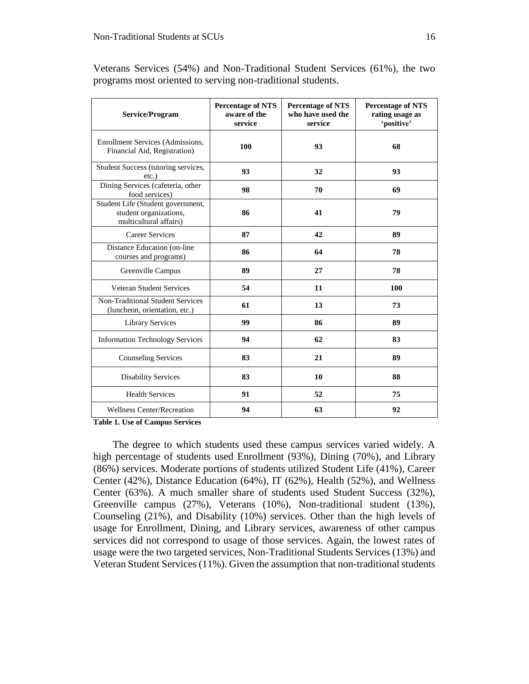| Service/Program                                                                       | <b>Percentage of NTS</b><br>aware of the<br>service | <b>Percentage of NTS</b><br>who have used the<br>service | <b>Percentage of NTS</b><br>rating usage as<br>'positive' |
|---------------------------------------------------------------------------------------|-----------------------------------------------------|----------------------------------------------------------|-----------------------------------------------------------|
| Enrollment Services (Admissions,<br>Financial Aid, Registration)                      | 100                                                 | 93                                                       | 68                                                        |
| Student Success (tutoring services,<br>$etc.$ )                                       | 93                                                  | 32                                                       | 93                                                        |
| Dining Services (cafeteria, other<br>food services)                                   | 98                                                  | 70                                                       | 69                                                        |
| Student Life (Student government,<br>student organizations,<br>multicultural affairs) | 86                                                  | 41                                                       | 79                                                        |
| <b>Career Services</b>                                                                | 87                                                  | 42                                                       | 89                                                        |
| Distance Education (on-line<br>courses and programs)                                  | 86                                                  | 64                                                       | 78                                                        |
| Greenville Campus                                                                     | 89                                                  | 27                                                       | 78                                                        |
| Veteran Student Services                                                              | 54                                                  | 11                                                       | 100                                                       |
| <b>Non-Traditional Student Services</b><br>(luncheon, orientation, etc.)              | 61                                                  | 13                                                       | 73                                                        |
| <b>Library Services</b>                                                               | 99                                                  | 86                                                       | 89                                                        |
| <b>Information Technology Services</b>                                                | 94                                                  | 62                                                       | 83                                                        |
| <b>Counseling Services</b>                                                            | 83                                                  | 21                                                       | 89                                                        |
| <b>Disability Services</b>                                                            | 83                                                  | 10                                                       | 88                                                        |
| <b>Health Services</b>                                                                | 91                                                  | 52                                                       | 75                                                        |
| <b>Wellness Center/Recreation</b>                                                     | 94                                                  | 63                                                       | 92                                                        |

Veterans Services (54%) and Non-Traditional Student Services (61%), the two programs most oriented to serving non-traditional students.

**Table 1. Use of Campus Services**

The degree to which students used these campus services varied widely. A high percentage of students used Enrollment (93%), Dining (70%), and Library (86%) services. Moderate portions of students utilized Student Life (41%), Career Center (42%), Distance Education (64%), IT (62%), Health (52%), and Wellness Center (63%). A much smaller share of students used Student Success (32%), Greenville campus (27%), Veterans (10%), Non-traditional student (13%), Counseling (21%), and Disability (10%) services. Other than the high levels of usage for Enrollment, Dining, and Library services, awareness of other campus services did not correspond to usage of those services. Again, the lowest rates of usage were the two targeted services, Non-Traditional Students Services (13%) and Veteran Student Services (11%). Given the assumption that non-traditional students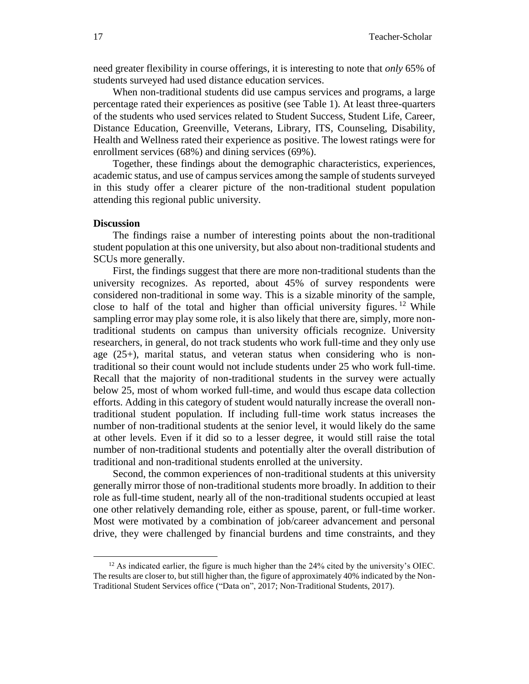need greater flexibility in course offerings, it is interesting to note that *only* 65% of students surveyed had used distance education services.

When non-traditional students did use campus services and programs, a large percentage rated their experiences as positive (see Table 1). At least three-quarters of the students who used services related to Student Success, Student Life, Career, Distance Education, Greenville, Veterans, Library, ITS, Counseling, Disability, Health and Wellness rated their experience as positive. The lowest ratings were for enrollment services (68%) and dining services (69%).

Together, these findings about the demographic characteristics, experiences, academic status, and use of campus services among the sample of students surveyed in this study offer a clearer picture of the non-traditional student population attending this regional public university.

#### **Discussion**

 $\overline{a}$ 

The findings raise a number of interesting points about the non-traditional student population at this one university, but also about non-traditional students and SCUs more generally.

First, the findings suggest that there are more non-traditional students than the university recognizes. As reported, about 45% of survey respondents were considered non-traditional in some way. This is a sizable minority of the sample, close to half of the total and higher than official university figures. <sup>12</sup> While sampling error may play some role, it is also likely that there are, simply, more nontraditional students on campus than university officials recognize. University researchers, in general, do not track students who work full-time and they only use age (25+), marital status, and veteran status when considering who is nontraditional so their count would not include students under 25 who work full-time. Recall that the majority of non-traditional students in the survey were actually below 25, most of whom worked full-time, and would thus escape data collection efforts. Adding in this category of student would naturally increase the overall nontraditional student population. If including full-time work status increases the number of non-traditional students at the senior level, it would likely do the same at other levels. Even if it did so to a lesser degree, it would still raise the total number of non-traditional students and potentially alter the overall distribution of traditional and non-traditional students enrolled at the university.

Second, the common experiences of non-traditional students at this university generally mirror those of non-traditional students more broadly. In addition to their role as full-time student, nearly all of the non-traditional students occupied at least one other relatively demanding role, either as spouse, parent, or full-time worker. Most were motivated by a combination of job/career advancement and personal drive, they were challenged by financial burdens and time constraints, and they

 $12$  As indicated earlier, the figure is much higher than the 24% cited by the university's OIEC. The results are closer to, but still higher than, the figure of approximately 40% indicated by the Non-Traditional Student Services office ("Data on", 2017; Non-Traditional Students, 2017).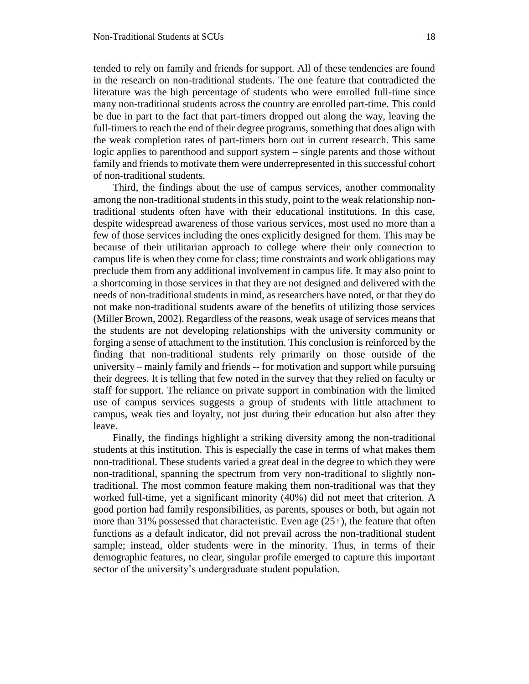tended to rely on family and friends for support. All of these tendencies are found in the research on non-traditional students. The one feature that contradicted the literature was the high percentage of students who were enrolled full-time since many non-traditional students across the country are enrolled part-time. This could be due in part to the fact that part-timers dropped out along the way, leaving the full-timers to reach the end of their degree programs, something that does align with the weak completion rates of part-timers born out in current research. This same logic applies to parenthood and support system – single parents and those without family and friends to motivate them were underrepresented in this successful cohort of non-traditional students.

Third, the findings about the use of campus services, another commonality among the non-traditional students in this study, point to the weak relationship nontraditional students often have with their educational institutions. In this case, despite widespread awareness of those various services, most used no more than a few of those services including the ones explicitly designed for them. This may be because of their utilitarian approach to college where their only connection to campus life is when they come for class; time constraints and work obligations may preclude them from any additional involvement in campus life. It may also point to a shortcoming in those services in that they are not designed and delivered with the needs of non-traditional students in mind, as researchers have noted, or that they do not make non-traditional students aware of the benefits of utilizing those services (Miller Brown, 2002). Regardless of the reasons, weak usage of services means that the students are not developing relationships with the university community or forging a sense of attachment to the institution. This conclusion is reinforced by the finding that non-traditional students rely primarily on those outside of the university – mainly family and friends -- for motivation and support while pursuing their degrees. It is telling that few noted in the survey that they relied on faculty or staff for support. The reliance on private support in combination with the limited use of campus services suggests a group of students with little attachment to campus, weak ties and loyalty, not just during their education but also after they leave.

Finally, the findings highlight a striking diversity among the non-traditional students at this institution. This is especially the case in terms of what makes them non-traditional. These students varied a great deal in the degree to which they were non-traditional, spanning the spectrum from very non-traditional to slightly nontraditional. The most common feature making them non-traditional was that they worked full-time, yet a significant minority (40%) did not meet that criterion. A good portion had family responsibilities, as parents, spouses or both, but again not more than 31% possessed that characteristic. Even age (25+), the feature that often functions as a default indicator, did not prevail across the non-traditional student sample; instead, older students were in the minority. Thus, in terms of their demographic features, no clear, singular profile emerged to capture this important sector of the university's undergraduate student population.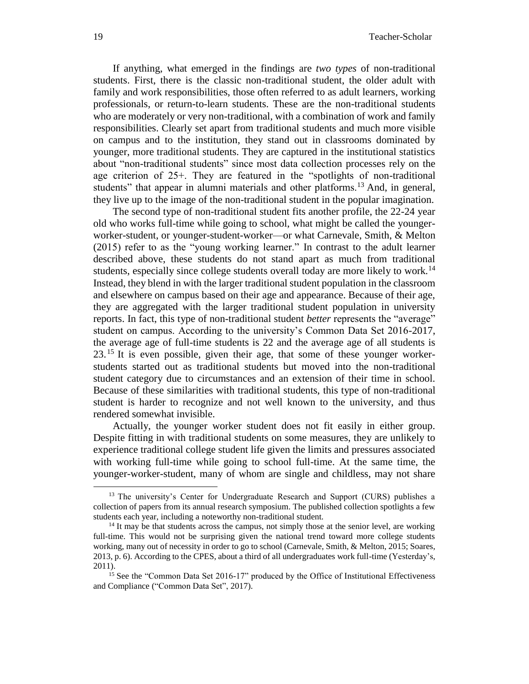If anything, what emerged in the findings are *two types* of non-traditional students. First, there is the classic non-traditional student, the older adult with family and work responsibilities, those often referred to as adult learners, working professionals, or return-to-learn students. These are the non-traditional students who are moderately or very non-traditional, with a combination of work and family responsibilities. Clearly set apart from traditional students and much more visible on campus and to the institution, they stand out in classrooms dominated by younger, more traditional students. They are captured in the institutional statistics about "non-traditional students" since most data collection processes rely on the age criterion of 25+. They are featured in the "spotlights of non-traditional students" that appear in alumni materials and other platforms.<sup>13</sup> And, in general, they live up to the image of the non-traditional student in the popular imagination.

The second type of non-traditional student fits another profile, the 22-24 year old who works full-time while going to school, what might be called the youngerworker-student, or younger-student-worker—or what Carnevale, Smith, & Melton (2015) refer to as the "young working learner." In contrast to the adult learner described above, these students do not stand apart as much from traditional students, especially since college students overall today are more likely to work.<sup>14</sup> Instead, they blend in with the larger traditional student population in the classroom and elsewhere on campus based on their age and appearance. Because of their age, they are aggregated with the larger traditional student population in university reports. In fact, this type of non-traditional student *better* represents the "average" student on campus. According to the university's Common Data Set 2016-2017, the average age of full-time students is 22 and the average age of all students is  $23<sup>15</sup>$  It is even possible, given their age, that some of these younger workerstudents started out as traditional students but moved into the non-traditional student category due to circumstances and an extension of their time in school. Because of these similarities with traditional students, this type of non-traditional student is harder to recognize and not well known to the university, and thus rendered somewhat invisible.

Actually, the younger worker student does not fit easily in either group. Despite fitting in with traditional students on some measures, they are unlikely to experience traditional college student life given the limits and pressures associated with working full-time while going to school full-time. At the same time, the younger-worker-student, many of whom are single and childless, may not share

<sup>&</sup>lt;sup>13</sup> The university's Center for Undergraduate Research and Support (CURS) publishes a collection of papers from its annual research symposium. The published collection spotlights a few students each year, including a noteworthy non-traditional student.

 $<sup>14</sup>$  It may be that students across the campus, not simply those at the senior level, are working</sup> full-time. This would not be surprising given the national trend toward more college students working, many out of necessity in order to go to school (Carnevale, Smith, & Melton, 2015; Soares, 2013, p. 6). According to the CPES, about a third of all undergraduates work full-time (Yesterday's, 2011).

<sup>&</sup>lt;sup>15</sup> See the "Common Data Set 2016-17" produced by the Office of Institutional Effectiveness and Compliance ("Common Data Set", 2017).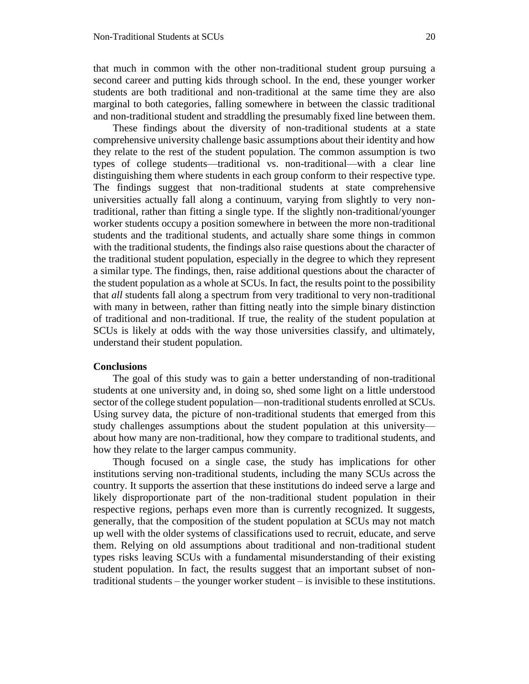that much in common with the other non-traditional student group pursuing a second career and putting kids through school. In the end, these younger worker students are both traditional and non-traditional at the same time they are also marginal to both categories, falling somewhere in between the classic traditional and non-traditional student and straddling the presumably fixed line between them.

These findings about the diversity of non-traditional students at a state comprehensive university challenge basic assumptions about their identity and how they relate to the rest of the student population. The common assumption is two types of college students—traditional vs. non-traditional—with a clear line distinguishing them where students in each group conform to their respective type. The findings suggest that non-traditional students at state comprehensive universities actually fall along a continuum, varying from slightly to very nontraditional, rather than fitting a single type. If the slightly non-traditional/younger worker students occupy a position somewhere in between the more non-traditional students and the traditional students, and actually share some things in common with the traditional students, the findings also raise questions about the character of the traditional student population, especially in the degree to which they represent a similar type. The findings, then, raise additional questions about the character of the student population as a whole at SCUs. In fact, the results point to the possibility that *all* students fall along a spectrum from very traditional to very non-traditional with many in between, rather than fitting neatly into the simple binary distinction of traditional and non-traditional. If true, the reality of the student population at SCUs is likely at odds with the way those universities classify, and ultimately, understand their student population.

#### **Conclusions**

The goal of this study was to gain a better understanding of non-traditional students at one university and, in doing so, shed some light on a little understood sector of the college student population—non-traditional students enrolled at SCUs. Using survey data, the picture of non-traditional students that emerged from this study challenges assumptions about the student population at this university about how many are non-traditional, how they compare to traditional students, and how they relate to the larger campus community.

Though focused on a single case, the study has implications for other institutions serving non-traditional students, including the many SCUs across the country. It supports the assertion that these institutions do indeed serve a large and likely disproportionate part of the non-traditional student population in their respective regions, perhaps even more than is currently recognized. It suggests, generally, that the composition of the student population at SCUs may not match up well with the older systems of classifications used to recruit, educate, and serve them. Relying on old assumptions about traditional and non-traditional student types risks leaving SCUs with a fundamental misunderstanding of their existing student population. In fact, the results suggest that an important subset of nontraditional students – the younger worker student – is invisible to these institutions.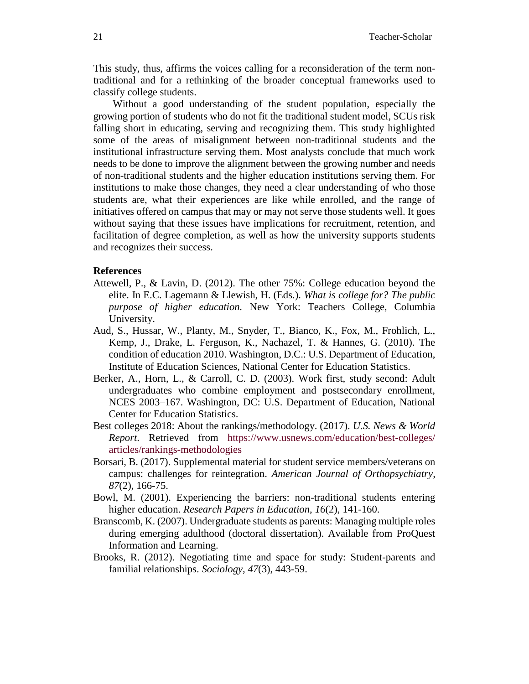This study, thus, affirms the voices calling for a reconsideration of the term nontraditional and for a rethinking of the broader conceptual frameworks used to classify college students.

Without a good understanding of the student population, especially the growing portion of students who do not fit the traditional student model, SCUs risk falling short in educating, serving and recognizing them. This study highlighted some of the areas of misalignment between non-traditional students and the institutional infrastructure serving them. Most analysts conclude that much work needs to be done to improve the alignment between the growing number and needs of non-traditional students and the higher education institutions serving them. For institutions to make those changes, they need a clear understanding of who those students are, what their experiences are like while enrolled, and the range of initiatives offered on campus that may or may not serve those students well. It goes without saying that these issues have implications for recruitment, retention, and facilitation of degree completion, as well as how the university supports students and recognizes their success.

## **References**

- Attewell, P., & Lavin, D. (2012). The other 75%: College education beyond the elite*.* In E.C. Lagemann & Llewish, H. (Eds.). *What is college for? The public purpose of higher education.* New York: Teachers College, Columbia University.
- Aud, S., Hussar, W., Planty, M., Snyder, T., Bianco, K., Fox, M., Frohlich, L., Kemp, J., Drake, L. Ferguson, K., Nachazel, T. & Hannes, G. (2010). The condition of education 2010. Washington, D.C.: U.S. Department of Education, Institute of Education Sciences, National Center for Education Statistics.
- Berker, A., Horn, L., & Carroll, C. D. (2003). Work first, study second: Adult undergraduates who combine employment and postsecondary enrollment, NCES 2003–167. Washington, DC: U.S. Department of Education, National Center for Education Statistics.
- Best colleges 2018: About the rankings/methodology. (2017). *U.S. News & World Report*. Retrieved from [https://www.usnews.com/education/best-colleges/](https://www.usnews.com/education/best-colleges/%20articles/rankings-methodologies)  [articles/rankings-methodologies](https://www.usnews.com/education/best-colleges/%20articles/rankings-methodologies)
- Borsari, B. (2017). Supplemental material for student service members/veterans on campus: challenges for reintegration. *American Journal of Orthopsychiatry, 87*(2), 166-75.
- Bowl, M. (2001). Experiencing the barriers: non-traditional students entering higher education. *Research Papers in Education*, *16*(2), 141-160.
- Branscomb, K. (2007). Undergraduate students as parents: Managing multiple roles during emerging adulthood (doctoral dissertation). Available from ProQuest Information and Learning.
- Brooks, R. (2012). Negotiating time and space for study: Student-parents and familial relationships. *Sociology, 47*(3), 443-59.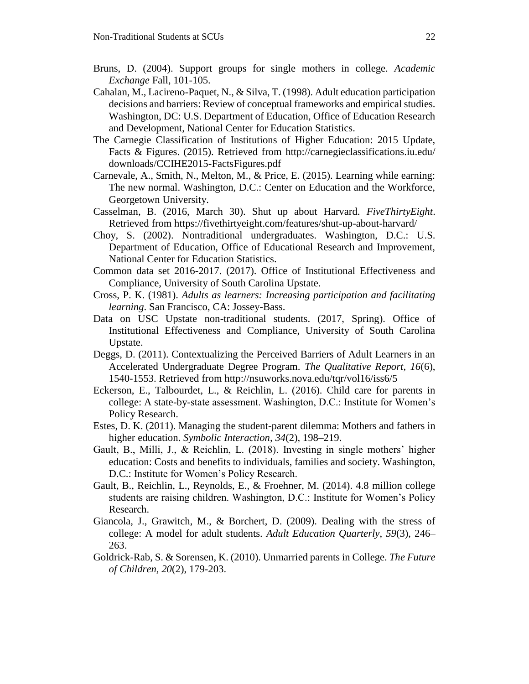- Bruns, D. (2004). Support groups for single mothers in college. *Academic Exchange* Fall, 101-105.
- Cahalan, M., Lacireno-Paquet, N., & Silva, T. (1998). Adult education participation decisions and barriers: Review of conceptual frameworks and empirical studies. Washington, DC: U.S. Department of Education, Office of Education Research and Development, National Center for Education Statistics.
- The Carnegie Classification of Institutions of Higher Education: 2015 Update, Facts & Figures. (2015). Retrieved from http://carnegieclassifications.iu.edu/ downloads/CCIHE2015-FactsFigures.pdf
- Carnevale, A., Smith, N., Melton, M., & Price, E. (2015). Learning while earning: The new normal. Washington, D.C.: Center on Education and the Workforce, Georgetown University.
- Casselman, B. (2016, March 30). Shut up about Harvard. *FiveThirtyEight*. Retrieved from https://fivethirtyeight.com/features/shut-up-about-harvard/
- Choy, S. (2002). Nontraditional undergraduates. Washington, D.C.: U.S. Department of Education, Office of Educational Research and Improvement, National Center for Education Statistics.
- Common data set 2016-2017. (2017). Office of Institutional Effectiveness and Compliance, University of South Carolina Upstate.
- Cross, P. K. (1981). *Adults as learners: Increasing participation and facilitating learning*. San Francisco, CA: Jossey-Bass.
- Data on USC Upstate non-traditional students. (2017, Spring). Office of Institutional Effectiveness and Compliance, University of South Carolina Upstate.
- Deggs, D. (2011). Contextualizing the Perceived Barriers of Adult Learners in an Accelerated Undergraduate Degree Program. *The Qualitative Report*, *16*(6), 1540-1553. Retrieved from http://nsuworks.nova.edu/tqr/vol16/iss6/5
- Eckerson, E., Talbourdet, L., & Reichlin, L. (2016). Child care for parents in college: A state-by-state assessment. Washington, D.C.: Institute for Women's Policy Research.
- Estes, D. K. (2011). Managing the student-parent dilemma: Mothers and fathers in higher education. *Symbolic Interaction, 34*(2), 198–219.
- Gault, B., Milli, J., & Reichlin, L. (2018). Investing in single mothers' higher education: Costs and benefits to individuals, families and society. Washington, D.C.: Institute for Women's Policy Research.
- Gault, B., Reichlin, L., Reynolds, E., & Froehner, M. (2014). 4.8 million college students are raising children. Washington, D.C.: Institute for Women's Policy Research.
- Giancola, J., Grawitch, M., & Borchert, D. (2009). Dealing with the stress of college: A model for adult students. *Adult Education Quarterly*, *59*(3), 246– 263.
- Goldrick-Rab, S. & Sorensen, K. (2010). Unmarried parents in College. *The Future of Children, 20*(2), 179-203.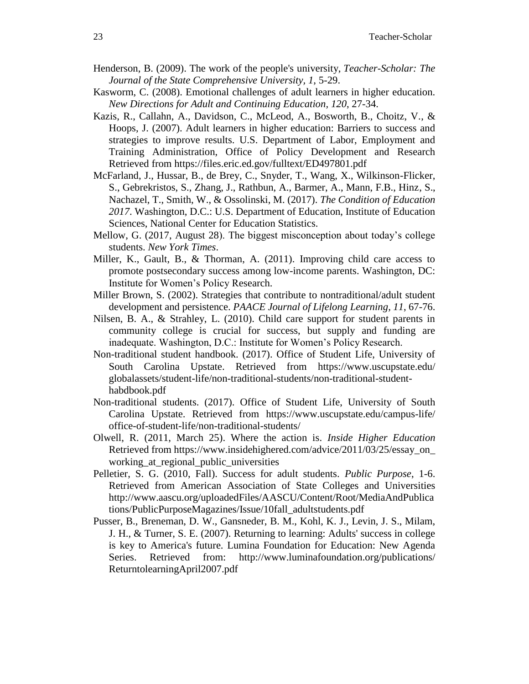- Henderson, B. (2009). The work of the people's university, *Teacher-Scholar: The Journal of the State Comprehensive University, 1*, 5-29.
- Kasworm, C. (2008). Emotional challenges of adult learners in higher education. *New Directions for Adult and Continuing Education, 120*, 27-34.
- Kazis, R., Callahn, A., Davidson, C., McLeod, A., Bosworth, B., Choitz, V., & Hoops, J. (2007). Adult learners in higher education: Barriers to success and strategies to improve results. U.S. Department of Labor, Employment and Training Administration, Office of Policy Development and Research Retrieved from https://files.eric.ed.gov/fulltext/ED497801.pdf
- McFarland, J., Hussar, B., de Brey, C., Snyder, T., Wang, X., Wilkinson-Flicker, S., Gebrekristos, S., Zhang, J., Rathbun, A., Barmer, A., Mann, F.B., Hinz, S., Nachazel, T., Smith, W., & Ossolinski, M. (2017). *The Condition of Education 2017*. Washington, D.C.: U.S. Department of Education, Institute of Education Sciences, National Center for Education Statistics.
- Mellow, G. (2017, August 28). The biggest misconception about today's college students. *New York Times*.
- Miller, K., Gault, B., & Thorman, A. (2011). Improving child care access to promote postsecondary success among low-income parents. Washington, DC: Institute for Women's Policy Research.
- Miller Brown, S. (2002). Strategies that contribute to nontraditional/adult student development and persistence. *PAACE Journal of Lifelong Learning, 11*, 67-76.
- Nilsen, B. A., & Strahley, L. (2010). Child care support for student parents in community college is crucial for success, but supply and funding are inadequate. Washington, D.C.: Institute for Women's Policy Research.
- Non-traditional student handbook. (2017). Office of Student Life, University of South Carolina Upstate. Retrieved from https://www.uscupstate.edu/ globalassets/student-life/non-traditional-students/non-traditional-studenthabdbook.pdf
- Non-traditional students. (2017). Office of Student Life, University of South Carolina Upstate. Retrieved from https://www.uscupstate.edu/campus-life/ office-of-student-life/non-traditional-students/
- Olwell, R. (2011, March 25). Where the action is. *Inside Higher Education* Retrieved from https://www.insidehighered.com/advice/2011/03/25/essay\_on\_ working at regional public universities
- Pelletier, S. G. (2010, Fall). Success for adult students. *Public Purpose*, 1-6. Retrieved from American Association of State Colleges and Universities http://www.aascu.org/uploadedFiles/AASCU/Content/Root/MediaAndPublica tions/PublicPurposeMagazines/Issue/10fall\_adultstudents.pdf
- Pusser, B., Breneman, D. W., Gansneder, B. M., Kohl, K. J., Levin, J. S., Milam, J. H., & Turner, S. E. (2007). Returning to learning: Adults' success in college is key to America's future. Lumina Foundation for Education: New Agenda Series. Retrieved from: http://www.luminafoundation.org/publications/ ReturntolearningApril2007.pdf